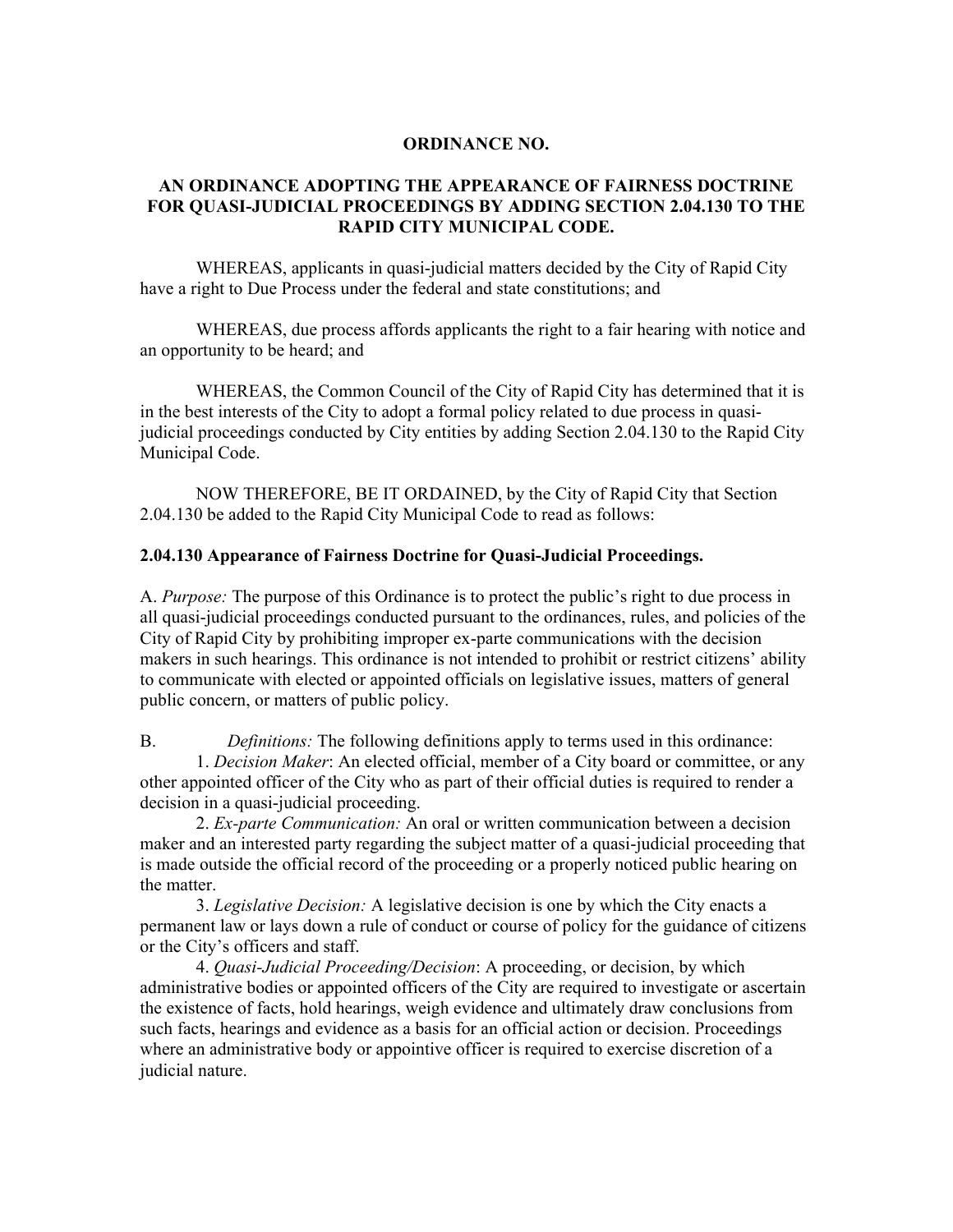## **ORDINANCE NO.**

## **AN ORDINANCE ADOPTING THE APPEARANCE OF FAIRNESS DOCTRINE FOR QUASI-JUDICIAL PROCEEDINGS BY ADDING SECTION 2.04.130 TO THE RAPID CITY MUNICIPAL CODE.**

WHEREAS, applicants in quasi-judicial matters decided by the City of Rapid City have a right to Due Process under the federal and state constitutions; and

WHEREAS, due process affords applicants the right to a fair hearing with notice and an opportunity to be heard; and

WHEREAS, the Common Council of the City of Rapid City has determined that it is in the best interests of the City to adopt a formal policy related to due process in quasijudicial proceedings conducted by City entities by adding Section 2.04.130 to the Rapid City Municipal Code.

NOW THEREFORE, BE IT ORDAINED, by the City of Rapid City that Section 2.04.130 be added to the Rapid City Municipal Code to read as follows:

## **2.04.130 Appearance of Fairness Doctrine for Quasi-Judicial Proceedings.**

A. *Purpose:* The purpose of this Ordinance is to protect the public's right to due process in all quasi-judicial proceedings conducted pursuant to the ordinances, rules, and policies of the City of Rapid City by prohibiting improper ex-parte communications with the decision makers in such hearings. This ordinance is not intended to prohibit or restrict citizens' ability to communicate with elected or appointed officials on legislative issues, matters of general public concern, or matters of public policy.

B. *Definitions:* The following definitions apply to terms used in this ordinance: 1. *Decision Maker*: An elected official, member of a City board or committee, or any other appointed officer of the City who as part of their official duties is required to render a decision in a quasi-judicial proceeding.

2. *Ex-parte Communication:* An oral or written communication between a decision maker and an interested party regarding the subject matter of a quasi-judicial proceeding that is made outside the official record of the proceeding or a properly noticed public hearing on the matter.

3. *Legislative Decision:* A legislative decision is one by which the City enacts a permanent law or lays down a rule of conduct or course of policy for the guidance of citizens or the City's officers and staff.

4. *Quasi-Judicial Proceeding/Decision*: A proceeding, or decision, by which administrative bodies or appointed officers of the City are required to investigate or ascertain the existence of facts, hold hearings, weigh evidence and ultimately draw conclusions from such facts, hearings and evidence as a basis for an official action or decision. Proceedings where an administrative body or appointive officer is required to exercise discretion of a judicial nature.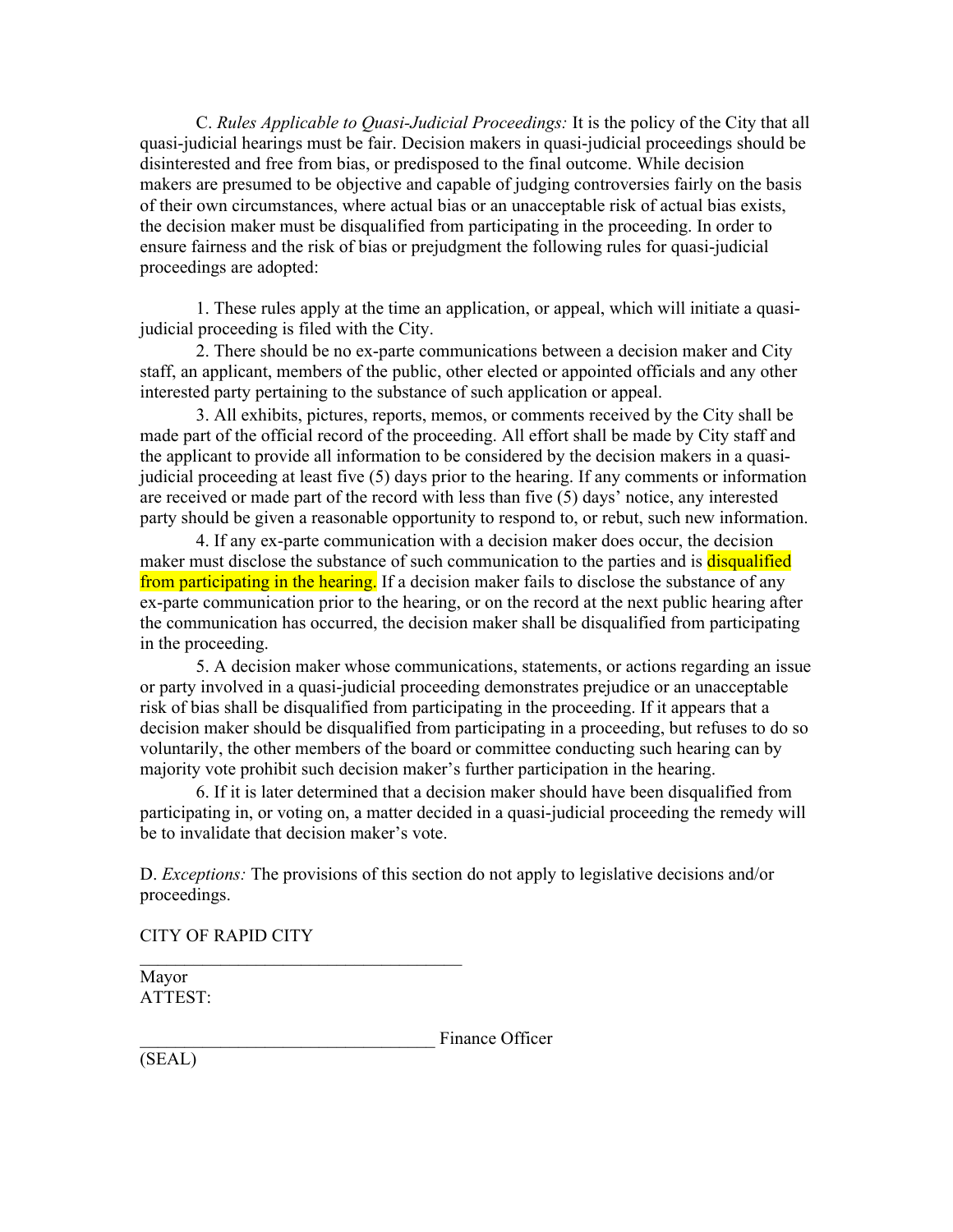C. *Rules Applicable to Quasi-Judicial Proceedings:* It is the policy of the City that all quasi-judicial hearings must be fair. Decision makers in quasi-judicial proceedings should be disinterested and free from bias, or predisposed to the final outcome. While decision makers are presumed to be objective and capable of judging controversies fairly on the basis of their own circumstances, where actual bias or an unacceptable risk of actual bias exists, the decision maker must be disqualified from participating in the proceeding. In order to ensure fairness and the risk of bias or prejudgment the following rules for quasi-judicial proceedings are adopted:

1. These rules apply at the time an application, or appeal, which will initiate a quasijudicial proceeding is filed with the City.

2. There should be no ex-parte communications between a decision maker and City staff, an applicant, members of the public, other elected or appointed officials and any other interested party pertaining to the substance of such application or appeal.

3. All exhibits, pictures, reports, memos, or comments received by the City shall be made part of the official record of the proceeding. All effort shall be made by City staff and the applicant to provide all information to be considered by the decision makers in a quasijudicial proceeding at least five (5) days prior to the hearing. If any comments or information are received or made part of the record with less than five  $(5)$  days' notice, any interested party should be given a reasonable opportunity to respond to, or rebut, such new information.

4. If any ex-parte communication with a decision maker does occur, the decision maker must disclose the substance of such communication to the parties and is **disqualified** from participating in the hearing. If a decision maker fails to disclose the substance of any ex-parte communication prior to the hearing, or on the record at the next public hearing after the communication has occurred, the decision maker shall be disqualified from participating in the proceeding.

5. A decision maker whose communications, statements, or actions regarding an issue or party involved in a quasi-judicial proceeding demonstrates prejudice or an unacceptable risk of bias shall be disqualified from participating in the proceeding. If it appears that a decision maker should be disqualified from participating in a proceeding, but refuses to do so voluntarily, the other members of the board or committee conducting such hearing can by majority vote prohibit such decision maker's further participation in the hearing.

6. If it is later determined that a decision maker should have been disqualified from participating in, or voting on, a matter decided in a quasi-judicial proceeding the remedy will be to invalidate that decision maker's vote.

D. *Exceptions:* The provisions of this section do not apply to legislative decisions and/or proceedings.

CITY OF RAPID CITY

 $\mathcal{L}_\text{max}$  and  $\mathcal{L}_\text{max}$  and  $\mathcal{L}_\text{max}$  and  $\mathcal{L}_\text{max}$ 

Mayor ATTEST:

Finance Officer

(SEAL)